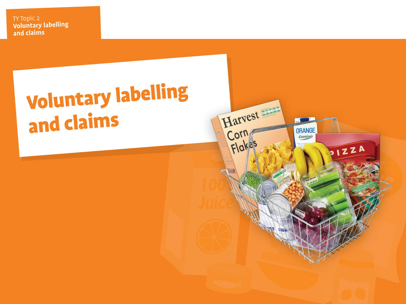Heading

# Voluntary labelling and claims

Harvest

**ORANGE** *Cssentials* 

PIZZA

Corn

Flake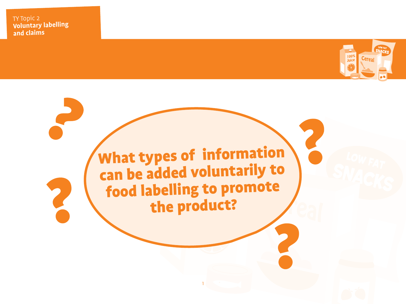

What types of information can be added voluntarily to food labelling to promote<br>the product?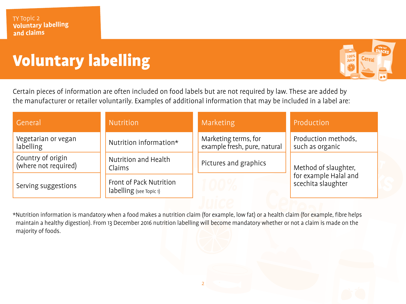### **Voluntary labelling**



Certain pieces of information are often included on food labels but are not required by law. These are added by the manufacturer or retailer voluntarily. Examples of additional information that may be included in a label are:

| General                                   | Nutrition                                          | Marketing                                            | Production                                                          |
|-------------------------------------------|----------------------------------------------------|------------------------------------------------------|---------------------------------------------------------------------|
| Vegetarian or vegan<br>labelling          | Nutrition information*                             | Marketing terms, for<br>example fresh, pure, natural | Production methods,<br>such as organic                              |
| Country of origin<br>(where not required) | Nutrition and Health<br>Claims                     | Pictures and graphics                                | Method of slaughter,<br>for example Halal and<br>scechita slaughter |
| Serving suggestions                       | Front of Pack Nutrition<br>labelling (see Topic 1) | $\bigcup \bigcup / \bigcirc$                         |                                                                     |

\*Nutrition information is mandatory when a food makes a nutrition claim (for example, low fat) or a health claim (for example, fibre helps maintain a healthy digestion). From 13 December 2016 nutrition labelling will become mandatory whether or not a claim is made on the majority of foods.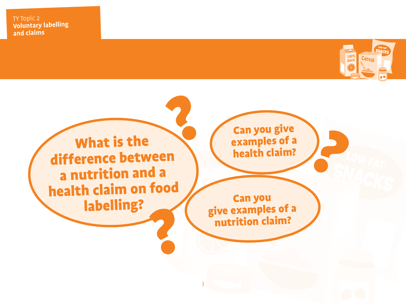

What is the difference between a nutrition and a health claim on food labelling?

Can you give examples of a health claim?

Can you <sup>g</sup>ive examples of a nutrition claim?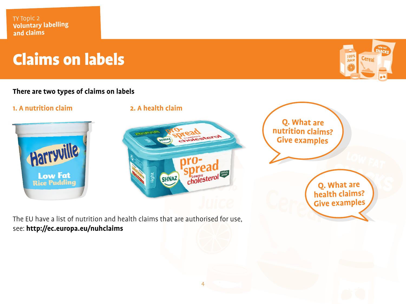### Claims on labels

#### **There are two types of claims on labels**





4

The EU have a list of nutrition and health claims that are authorised for use, see: **http://ec.europa.eu/nuhclaims**



**Q. What are nutrition claims? Give examples**

> **Q. What are health claims? Give examples**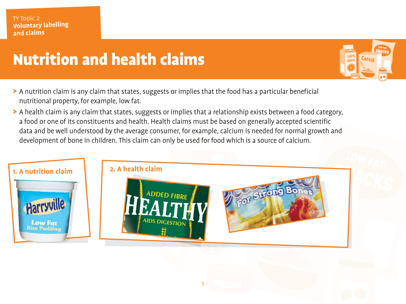#### TY Topic 2<br>**Volu<u>ntary labelling</u> and claims**

### Nutrition and health claims

- > A nutrition claim is any claim that states, suggests or implies that the food has a particular beneficial nutritional property, for example, low fat.
- > A health claim is any claim that states, suggests or implies that a relationship exists between a food category, a food or one of its constituents and health. Health claims must be based on generally accepted scientific data and be well understood by the average consumer, for example, calcium is needed for normal growth and development of bone in children. This claim can only be used for food which is a source of calcium.

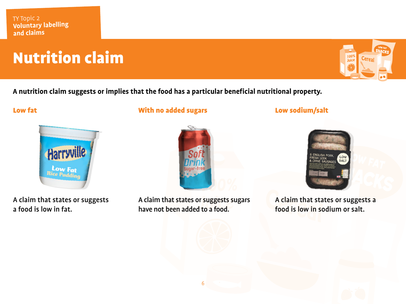### **Nutrition claim**



**A nutrition claim suggests or implies that the food has a particular beneficial nutritional property.**

#### Low fat



A claim that states or suggests a food is low in fat.

With no added sugars



A claim that states or suggests sugars have not been added to a food.

Low sodium/salt



A claim that states or suggests a food is low in sodium or salt.

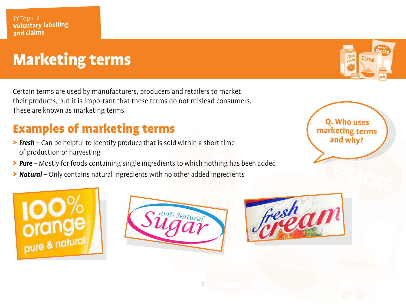### Marketing terms

Certain terms are used by manufacturers, producers and retailers to market their products, but it is important that these terms do not mislead consumers. These are known as marketing terms.

### Examples of marketing terms

- > *Fresh* Can be helpful to identify produce that is sold within a short time of production or harvesting
- > *Pure* Mostly for foods containing single ingredients to which nothing has been added
- > *Natural* Only contains natural ingredients with no other added ingredients

**Q. Who uses marketing terms and why?**







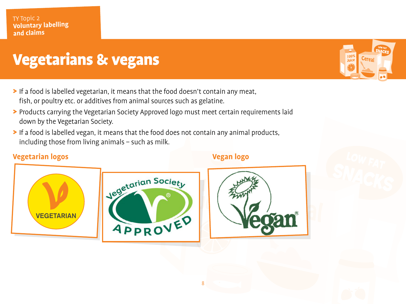#### TY Topic 2<br>**Volu<u>ntary labelling</u> and claims**

### Vegetarians & vegans

- > If a food is labelled vegetarian, it means that the food doesn't contain any meat, fish, or poultry etc. or additives from animal sources such as gelatine.
- > Products carrying the Vegetarian Society Approved logo must meet certain requirements laid down by the Vegetarian Society.
- > If a food is labelled vegan, it means that the food does not contain any animal products, including those from living animals – such as milk.

#### **Vegetarian logos Vegan logo**







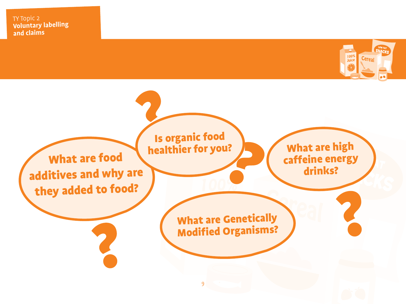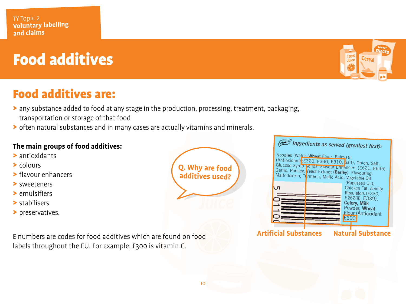# Food additives

### Food additives are:

- > any substance added to food at any stage in the production, processing, treatment, packaging, transportation or storage of that food
- > often natural substances and in many cases are actually vitamins and minerals.

#### **The main groups of food additives:**

- > antioxidants
- > colours
- > flavour enhancers
- > sweeteners
- > emulsifiers
- > stabilisers
- > preservatives.

E numbers are codes for food additives which are found on food labels throughout the EU. For example, E300 is vitamin C.

| Q. Why are food<br>additives used? |
|------------------------------------|
|                                    |
|                                    |



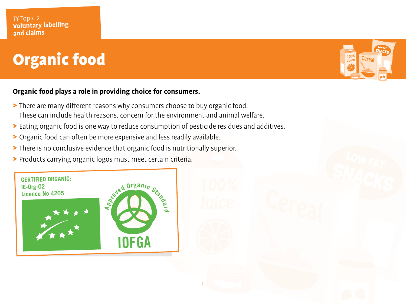# Organic food

#### **Organic food plays a role in providing choice for consumers.**

- > There are many different reasons why consumers choose to buy organic food. These can include health reasons, concern for the environment and animal welfare.
- > Eating organic food is one way to reduce consumption of pesticide residues and additives.

- > Organic food can often be more expensive and less readily available.
- > There is no conclusive evidence that organic food is nutritionally superior.
- > Products carrying organic logos must meet certain criteria.



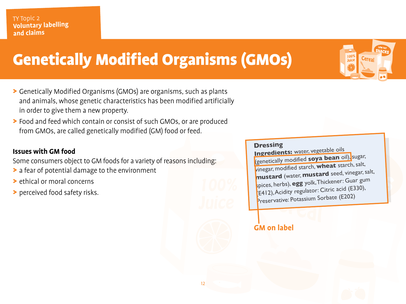### Genetically Modified Organisms (GMOs)

- > Genetically Modified Organisms (GMOs) are organisms, such as plants and animals, whose genetic characteristics has been modified artificially in order to give them a new property.
- > Food and feed which contain or consist of such GMOs, or are produced from GMOs, are called genetically modified (GM) food or feed.

#### **Issues with GM food**

Some consumers object to GM foods for a variety of reasons including:

- > a fear of potential damage to the environment
- > ethical or moral concerns
- > perceived food safety risks.

#### **Dressing**

**Ingredients:** water, vegetable oils (genetically modified **soya bean** oil), sugar, vinegar, modified starch, **wheat** starch, salt, **mustard** (water, **mustard** seed, vinegar, salt, spices, herbs), **egg** yolk, Thickener: Guar gum (E412),Acidity regulator: Citric acid (E330), Preservative: Potassium Sorbate (E202)

#### **GM on label**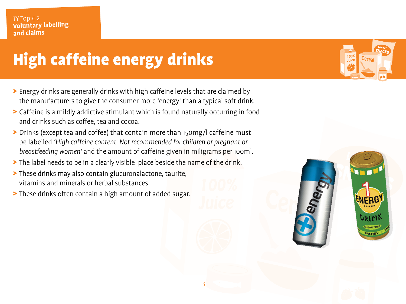# High caffeine energy drinks

- > Energy drinks are generally drinks with high caffeine levels that are claimed by the manufacturers to give the consumer more 'energy' than a typical soft drink.
- > Caffeine is a mildly addictive stimulant which is found naturally occurring in food and drinks such as coffee, tea and cocoa.
- > Drinks (except tea and coffee) that contain more than 150mg/l caffeine must be labelled *'High caffeine content. Not recommended for children or pregnant or breastfeeding women'* and the amount of caffeine given in miligrams per 100ml.
- > The label needs to be in a clearly visible place beside the name of the drink.
- > These drinks may also contain glucuronalactone, taurite, vitamins and minerals or herbal substances.
- > These drinks often contain a high amount of added sugar.